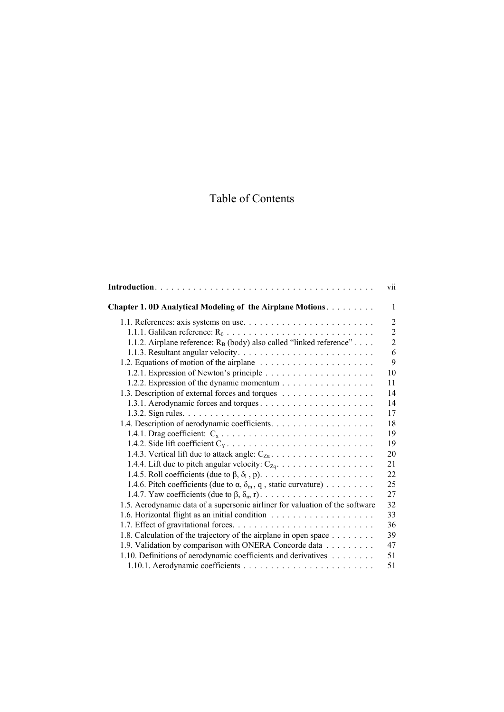## Table of Contents

|                                                                                | V11            |
|--------------------------------------------------------------------------------|----------------|
| Chapter 1.0D Analytical Modeling of the Airplane Motions.                      | 1              |
|                                                                                | $\overline{2}$ |
|                                                                                | $\overline{2}$ |
| 1.1.2. Airplane reference: $R_B$ (body) also called "linked reference"         | $\overline{2}$ |
|                                                                                | 6              |
|                                                                                | 9              |
|                                                                                | 10             |
|                                                                                | 11             |
| 1.3. Description of external forces and torques                                | 14             |
|                                                                                | 14             |
|                                                                                | 17             |
|                                                                                | 18             |
|                                                                                | 19             |
|                                                                                | 19             |
|                                                                                | 20             |
|                                                                                | 21             |
|                                                                                | 22             |
| 1.4.6. Pitch coefficients (due to $\alpha$ , $\delta_m$ , q, static curvature) | 25             |
|                                                                                | 27             |
| 1.5. Aerodynamic data of a supersonic airliner for valuation of the software   | 32             |
|                                                                                | 33             |
|                                                                                | 36             |
| 1.8. Calculation of the trajectory of the airplane in open space               | 39             |
| 1.9. Validation by comparison with ONERA Concorde data                         | 47             |
| 1.10. Definitions of aerodynamic coefficients and derivatives                  | 51             |
|                                                                                | 51             |